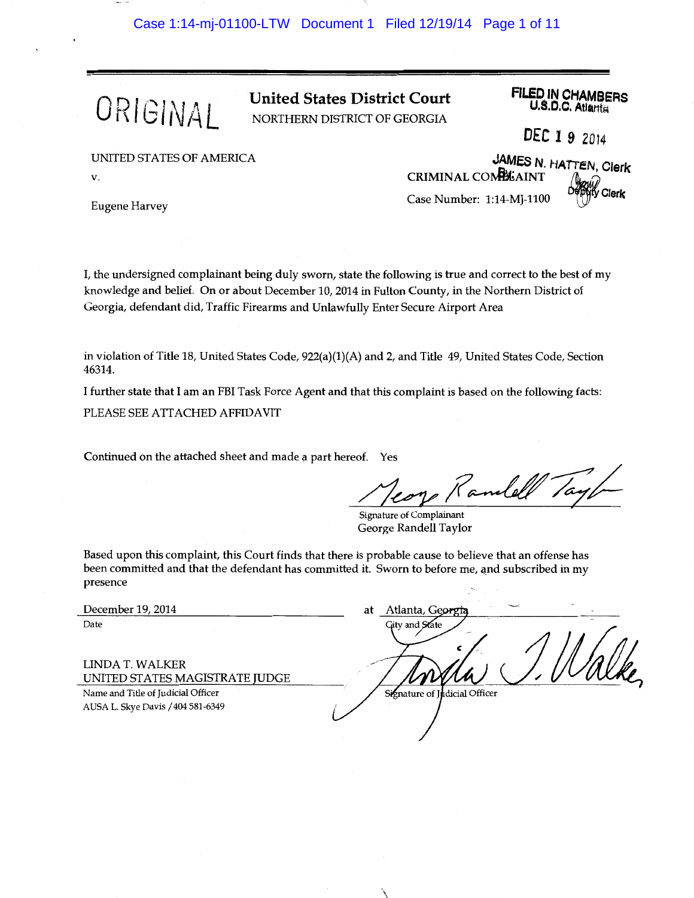

ORIGINAL United States District Court NORTHERN DISTRICT OF GEORGIA

**FILED IN CHAMBERS**<br>U.S.D.C. Atlanta

DEC 19 2014

JAMES N. HATTEN, Clerk

UNITED STATES OF AMERICA

v.

Eugene Harvey

I, the undersigned complainant being duly sworn, state the following is true and correct to the best of my knowledge and belief. On or about December 10, 2014 in Fulton County, in the Northern District of Georgia, defendant did, Traffic Firearms and Unlawfully Enter Secure Airport Area

in violation of Title 18, United States Code, 922(a)(1)(A) and 2, and Title 49, United States Code, Section 46314.

I further state that I am an FBI Task Force Agent and that this complaint is based on the following facts: PLEASE SEE ATTACHED AFFIDAVIT

Continued on the attached sheet and made a part hereof. Yes

d\_~;?~-z;/-

CRIMINAL COMPLAINT

Case Number: 1:14-MJ-1100  $\frac{D^2}{D^2}$ Clerk

Signature of Complainant George Randell Taylor

 $\ddot{\phantom{a}}$ 

Based upon this complaint, this Court finds that there is probable cause to believe that an offense has been committed and that the defendant has committed it. Sworn to before me, and subscribed in my presence

December 19, 2014 Date

LINDA T. WALKER UNITED ST ATES MAGISTRATE JUDGE

Name and Title of Judicial Officer A USA L. Skye Davis / 404 581-6349

Atlanta, Georgi at jity and State Signature of Judicial Officer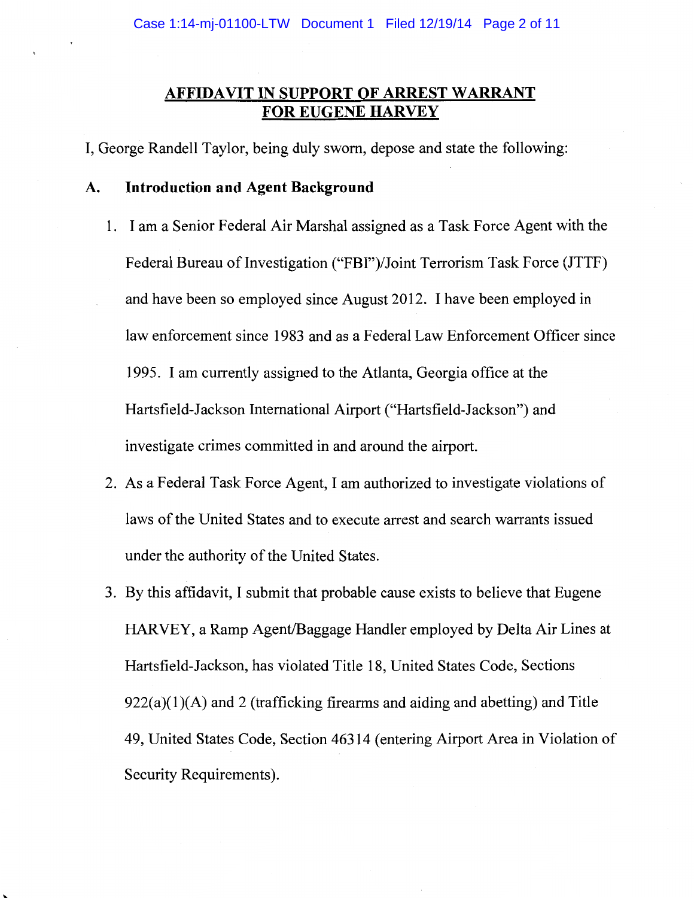## **AFFIDAVIT IN SUPPORT OF ARREST WARRANT FOR EUGENE HARVEY**

I, George Randell Taylor, being duly sworn, depose and state the following:

## **A. Introduction and Agent Background**

- 1. I am a Senior Federal Air Marshal assigned as a Task Force Agent with the Federal Bureau of Investigation ("FBI")/Joint Terrorism Task Force (JTTF) and have been so employed since August 2012. I have been employed in law enforcement since 1983 and as a Federal Law Enforcement Officer since 1995. I am currently assigned to the Atlanta, Georgia office at the Hartsfield-Jackson International Airport ("Hartsfield-Jackson") and investigate crimes committed in and around the airport.
- 2. As a Federal Task Force Agent, I am authorized to investigate violations of laws of the United States and to execute arrest and search warrants issued under the authority of the United States.
- 3. By this affidavit, I submit that probable cause exists to believe that Eugene HARVEY, a Ramp Agent/Baggage Handler employed by Delta Air Lines at Hartsfield-Jackson, has violated Title 18, United States Code, Sections  $922(a)(1)(A)$  and 2 (trafficking firearms and aiding and abetting) and Title 49, United States Code, Section 46314 (entering Airport Area in Violation of Security Requirements).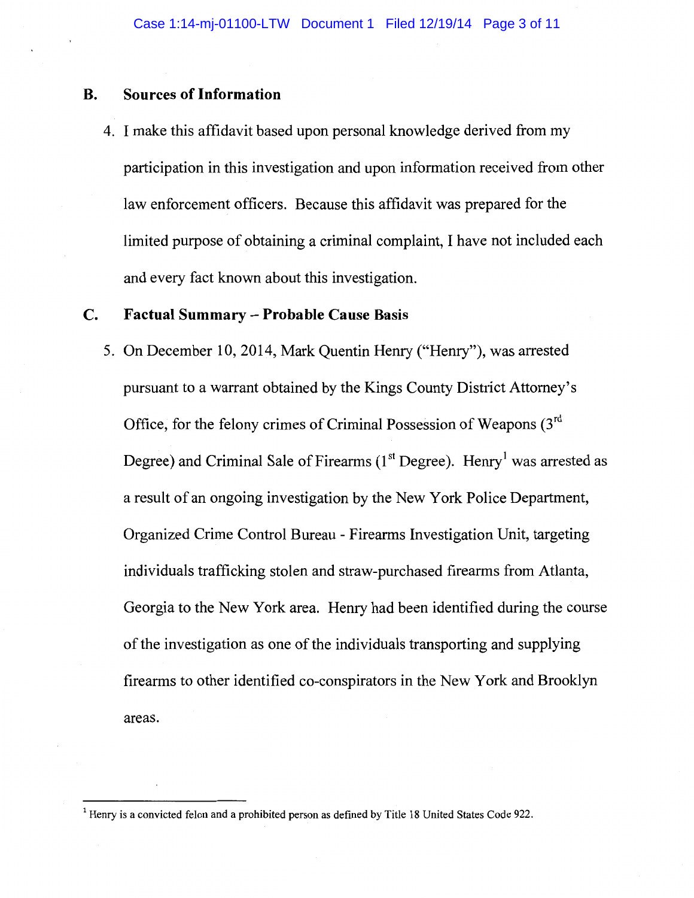## **B. Sources of Information**

4. I make this affidavit based upon personal knowledge derived from my participation in this investigation and upon information received from other law enforcement officers. Because this affidavit was prepared for the limited purpose of obtaining a criminal complaint, I have not included each and every fact known about this investigation.

## **C. Factual Summary - Probable Cause Basis**

5. On December 10, 2014, Mark Quentin Henry ("Henry"), was arrested pursuant to a warrant obtained by the Kings County District Attorney's Office, for the felony crimes of Criminal Possession of Weapons  $(3<sup>rd</sup>$ Degree) and Criminal Sale of Firearms  $(1<sup>st</sup>$  Degree). Henry<sup>1</sup> was arrested as a result of an ongoing investigation by the New York Police Department, Organized Crime Control Bureau - Firearms Investigation Unit, targeting individuals trafficking stolen and straw-purchased firearms from Atlanta, Georgia to the New York area. Henry had been identified during the course of the investigation as one of the individuals transporting and supplying firearms to other identified co-conspirators in the New York and Brooklyn areas.

<sup>&</sup>lt;sup>1</sup> Henry is a convicted felon and a prohibited person as defined by Title 18 United States Code 922.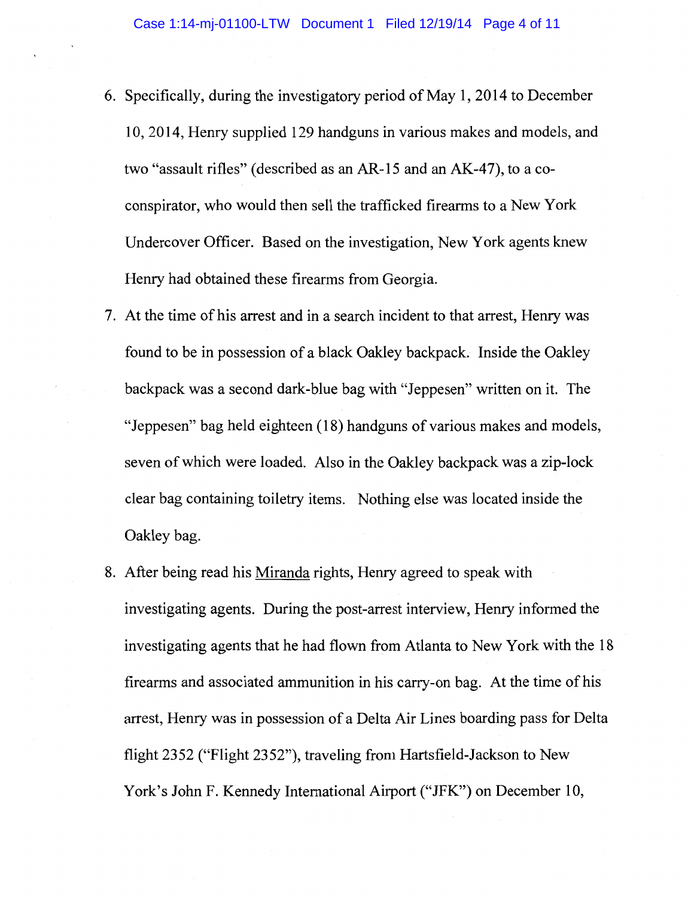- 6. Specifically, during the investigatory period of May 1, 2014 to December 10, 2014, Henry supplied 129 handguns in various makes and models, and two "assault rifles" (described as an AR-15 and an AK-47), to a coconspirator, who would then sell the trafficked firearms to a New York Undercover Officer. Based on the investigation, New York agents knew Henry had obtained these firearms from Georgia.
- 7. At the time of his arrest and in a search incident to that arrest, Henry was found to be in possession of a black Oakley backpack. Inside the Oakley backpack was a second dark-blue bag with "Jeppesen" written on it. The "Jeppesen" bag held eighteen (18) handguns of various makes and models, seven of which were loaded. Also in the Oakley backpack was a zip-lock clear bag containing toiletry items. Nothing else was located inside the Oakley bag.
- 8. After being read his Miranda rights, Henry agreed to speak with investigating agents. During the post-arrest interview, Henry informed the investigating agents that he had flown from Atlanta to New York with the 18 firearms and associated ammunition in his carry-on bag. At the time of his arrest, Henry was in possession of a Delta Air Lines boarding pass for Delta flight 2352 ("Flight 2352"), traveling from Hartsfield-Jackson to New York's John F. Kennedy International Airport ("JFK") on December 10,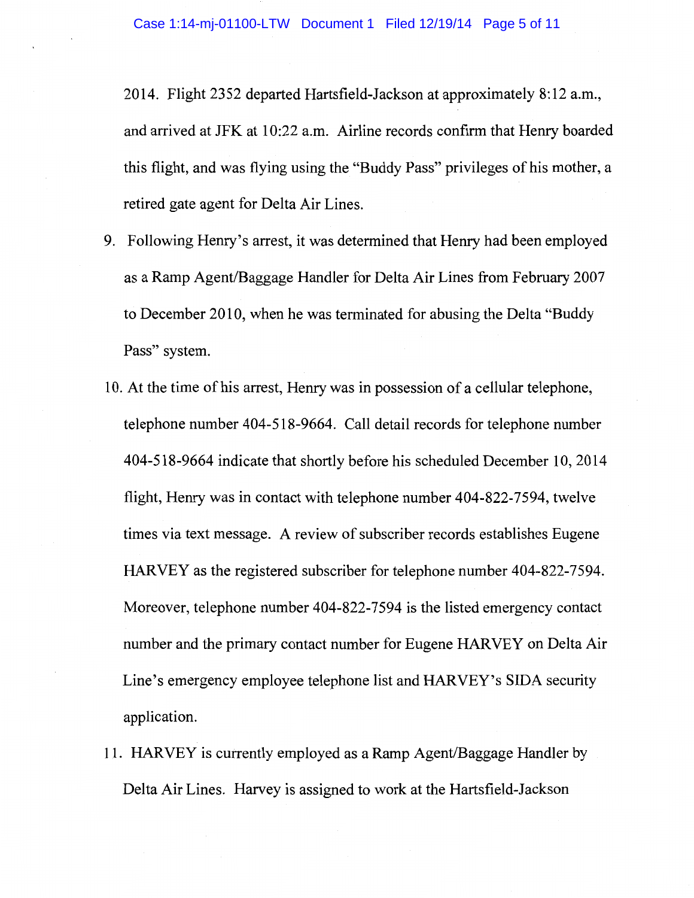2014. Flight 2352 departed Hartsfield-Jackson at approximately 8: 12 a.m., and arrived at JFK at 10:22 a.m. Airline records confirm that Henry boarded this flight, and was flying using the "Buddy Pass" privileges of his mother, a retired gate agent for Delta Air Lines.

- 9. Following Henry's arrest, it was determined that Henry had been employed as a Ramp Agent/Baggage Handler for Delta Air Lines from February 2007 to December 2010, when he was terminated for abusing the Delta "Buddy Pass" system.
- 10. At the time of his arrest, Henry was in possession of a cellular telephone, telephone number 404-518-9664. Call detail records for telephone number 404-518-9664 indicate that shortly before his scheduled December 10, 2014 flight, Henry was in contact with telephone number 404-822-7594, twelve times via text message. A review of subscriber records establishes Eugene HARVEY as the registered subscriber for telephone number 404-822-7594. Moreover, telephone number 404-822-7594 is the listed emergency contact number and the primary contact number for Eugene HARVEY on Delta Air Line's emergency employee telephone list and HARVEY's SIDA security application.
- 11. HARVEY is currently employed as a Ramp Agent/Baggage Handler by Delta Air Lines. Harvey is assigned to work at the Hartsfield-Jackson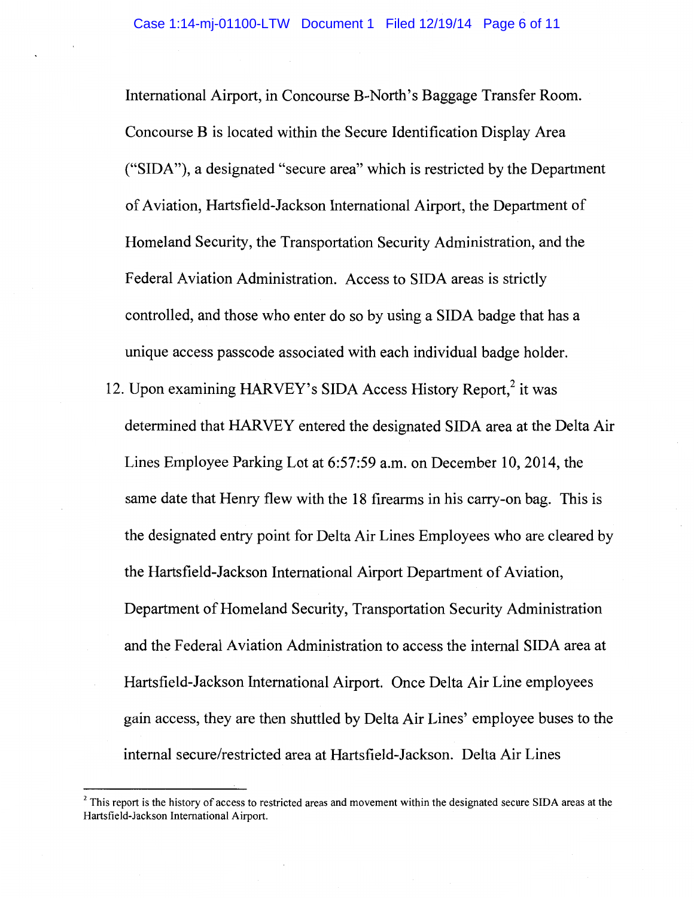International Airport, in Concourse B-North's Baggage Transfer Room. Concourse B is located within the Secure Identification Display Area ("SIDA"), a designated "secure area" which is restricted by the Department of Aviation, Hartsfield-Jackson International Airport, the Department of Homeland Security, the Transportation Security Administration, and the Federal Aviation Administration. Access to SIDA areas is strictly controlled, and those who enter do so by using a SIDA badge that has a unique access passcode associated with each individual badge holder.

12. Upon examining HARVEY's SIDA Access History Report,<sup>2</sup> it was determined that HARVEY entered the designated SIDA area at the Delta Air Lines Employee Parking Lot at 6:57:59 a.m. on December 10, 2014, the same date that Henry flew with the 18 firearms in his carry-on bag. This is the designated entry point for Delta Air Lines Employees who are cleared by the Hartsfield-Jackson International Airport Department of Aviation, Department of Homeland Security, Transportation Security Administration and the Federal Aviation Administration to access the internal SIDA area at Hartsfield-Jackson International Airport. Once Delta Air Line employees gain access, they are then shuttled by Delta Air Lines' employee buses to the internal secure/restricted area at Hartsfield-Jackson. Delta Air Lines

<sup>&</sup>lt;sup>2</sup> This report is the history of access to restricted areas and movement within the designated secure SIDA areas at the Hartsfield-Jackson International Airport.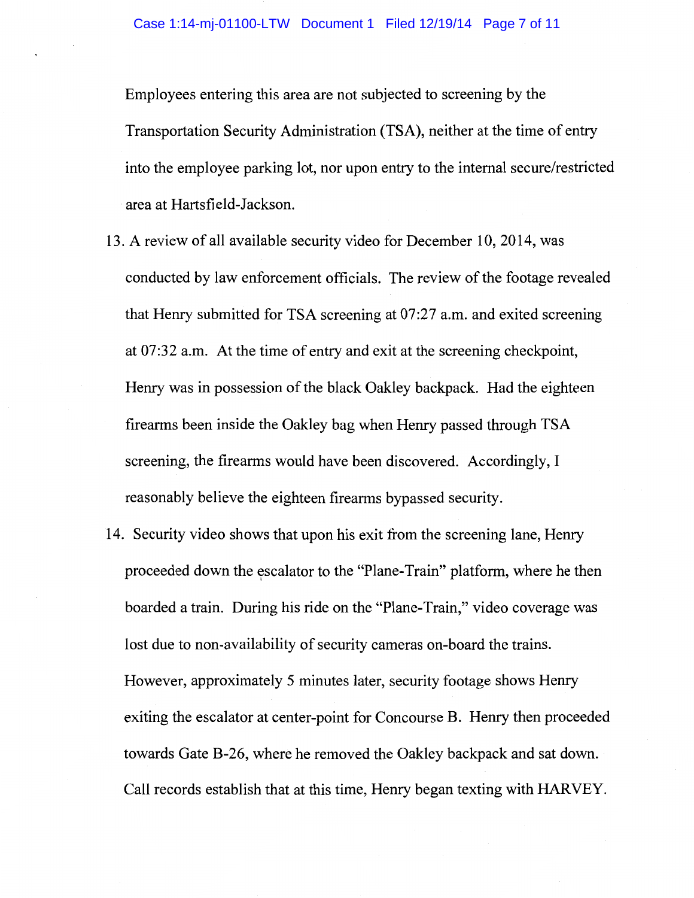Employees entering this area are not subjected to screening by the Transportation Security Administration (TSA), neither at the time of entry into the employee parking lot, nor upon entry to the internal secure/restricted area at Hartsfield-Jackson.

- 13. A review of all available security video for December 10, 2014, was conducted by law enforcement officials. The review of the footage revealed that Henry submitted for TSA screening at 07:27 a.m. and exited screening at 07:32 a.m. At the time of entry and exit at the screening checkpoint, Henry was in possession of the black Oakley backpack. Had the eighteen firearms been inside the Oakley bag when Henry passed through TSA screening, the firearms would have been discovered. Accordingly, I reasonably believe the eighteen firearms bypassed security.
- 14. Security video shows that upon his exit from the screening lane, Henry proceeded down the escalator to the "Plane-Train" platform, where he then boarded a train. During his ride on the "Plane-Train," video coverage was lost due to non-availability of security cameras on-board the trains. However, approximately 5 minutes later, security footage shows Henry exiting the escalator at center-point for Concourse B. Henry then proceeded towards Gate B-26, where he removed the Oakley backpack and sat down. Call records establish that at this time, Henry began texting with HARVEY.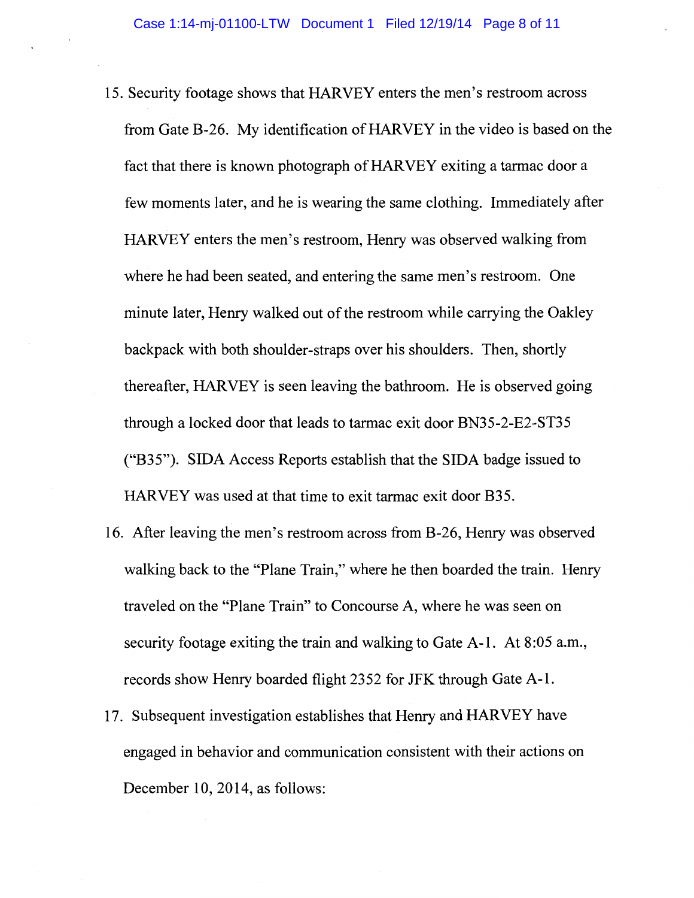- 15. Security footage shows that HARVEY enters the men's restroom across from Gate B-26. My identification of HARVEY in the video is based on the fact that there is known photograph of HARVEY exiting a tarmac door a few moments later, and he is wearing the same clothing. Immediately after HARVEY enters the men's restroom, Henry was observed walking from where he had been seated, and entering the same men's restroom. One minute later, Henry walked out of the restroom while carrying the Oakley backpack with both shoulder-straps over his shoulders. Then, shortly thereafter, HARVEY is seen leaving the bathroom. He is observed going through a locked door that leads to tarmac exit door BN35-2-E2-ST35 ("B35"). SIDA Access Reports establish that the SIDA badge issued to HARVEY was used at that time to exit tarmac exit door B35.
- 16. After leaving the men's restroom across from B-26, Henry was observed walking back to the "Plane Train," where he then boarded the train. Henry traveled on the "Plane Train" to Concourse A, where he was seen on security footage exiting the train and walking to Gate A-1. At 8:05 a.m., records show Henry boarded flight 2352 for JFK through Gate A-1.
- 17. Subsequent investigation establishes that Henry and HARVEY have engaged in behavior and communication consistent with their actions on December 10, 2014, as follows: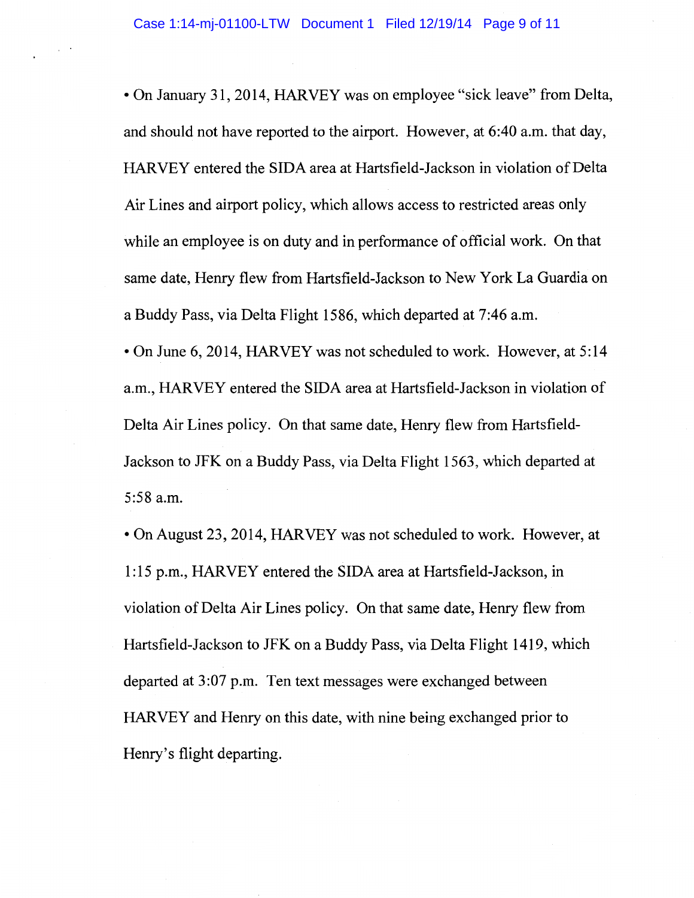•On January 31, 2014, HARVEY was on employee "sick leave" from Delta, and should not have reported to the airport. However, at 6:40 a.m. that day, HARVEY entered the SIDA area at Hartsfield-Jackson in violation of Delta Air Lines and airport policy, which allows access to restricted areas only while an employee is on duty and in performance of official work. On that same date, Henry flew from Hartsfield-Jackson to New York La Guardia on a Buddy Pass, via Delta Flight 1586, which departed at 7:46 a.m.

•On June 6, 2014, HARVEY was not scheduled to work. However, at 5:14 a.m., HARVEY entered the SIDA area at Hartsfield-Jackson in violation of Delta Air Lines policy. On that same date, Henry flew from Hartsfield-Jackson to JFK on a Buddy Pass, via Delta Flight 1563, which departed at 5:58 a.m.

•On August 23, 2014, HARVEY was not scheduled to work. However, at 1: 15 p.m., HARVEY entered the SIDA area at Hartsfield-Jackson, in violation of Delta Air Lines policy. On that same date, Henry flew from Hartsfield-Jackson to JFK on a Buddy Pass, via Delta Flight 1419, which departed at 3 :07 p.m. Ten text messages were exchanged between HARVEY and Henry on this date, with nine being exchanged prior to Henry's flight departing.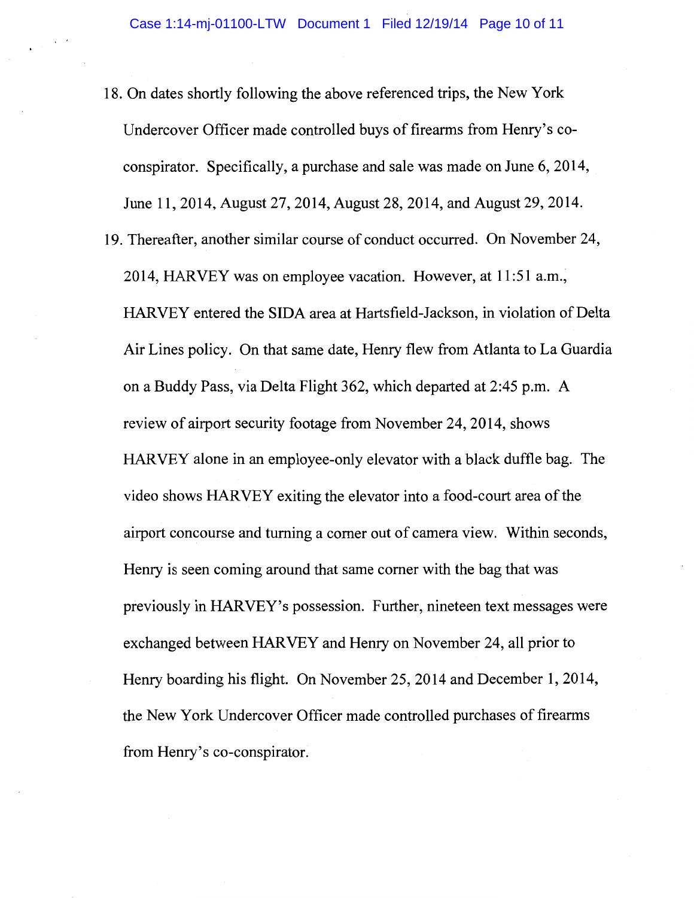- 18. On dates shortly following the above referenced trips, the New York Undercover Officer made controlled buys of firearms from Henry's coconspirator. Specifically, a purchase and sale was made on June 6, 2014, June 11, 2014, August 27, 2014, August 28, 2014, and August 29, 2014.
- 19. Thereafter, another similar course of conduct occurred. On November 24, 2014, HARVEY was on employee vacation. However, at 11:51 a.m., HARVEY entered the SIDA area at Hartsfield-Jackson, in violation of Delta Air Lines policy. On that same date, Henry flew from Atlanta to La Guardia on a Buddy Pass, via Delta Flight 362, which departed at 2:45 p.m. A review of airport security footage from November 24, 2014, shows HARVEY alone in an employee-only elevator with a black duffle bag. The video shows HARVEY exiting the elevator into a food-court area of the airport concourse and turning a comer out of camera view. Within seconds, Henry is seen coming around that same comer with the bag that was previously in HARVEY's possession. Further, nineteen text messages were exchanged between HARVEY and Henry on November 24, all prior to Henry boarding his flight. On November 25, 2014 and December 1, 2014, the New York Undercover Officer made controlled purchases of firearms from Henry's co-conspirator.